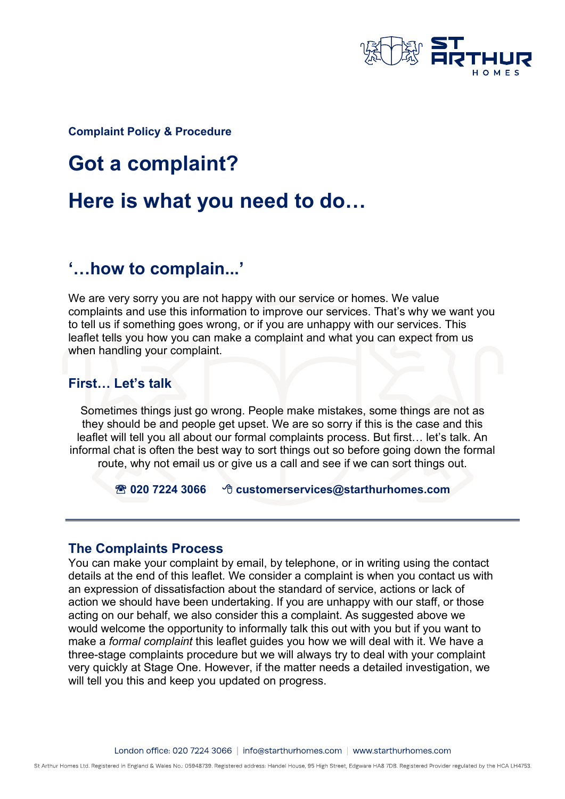

**Complaint Policy & Procedure**

# **Got a complaint?**

# **Here is what you need to do…**

# **'…how to complain...'**

We are very sorry you are not happy with our service or homes. We value complaints and use this information to improve our services. That's why we want you to tell us if something goes wrong, or if you are unhappy with our services. This leaflet tells you how you can make a complaint and what you can expect from us when handling your complaint.

#### **First… Let's talk**

Sometimes things just go wrong. People make mistakes, some things are not as they should be and people get upset. We are so sorry if this is the case and this leaflet will tell you all about our formal complaints process. But first… let's talk. An informal chat is often the best way to sort things out so before going down the formal route, why not email us or give us a call and see if we can sort things out.

#### **020 7224 3066 customerservices@starthurhomes.com**

#### **The Complaints Process**

You can make your complaint by email, by telephone, or in writing using the contact details at the end of this leaflet. We consider a complaint is when you contact us with an expression of dissatisfaction about the standard of service, actions or lack of action we should have been undertaking. If you are unhappy with our staff, or those acting on our behalf, we also consider this a complaint. As suggested above we would welcome the opportunity to informally talk this out with you but if you want to make a *formal complaint* this leaflet guides you how we will deal with it. We have a three-stage complaints procedure but we will always try to deal with your complaint very quickly at Stage One. However, if the matter needs a detailed investigation, we will tell you this and keep you updated on progress.

St Arthur Homes Ltd. Registered in England & Wales No.: 05948739. Registered address: Handel House, 95 High Street, Edgware HA8 7DB. Registered Provider regulated by the HCA LH4753.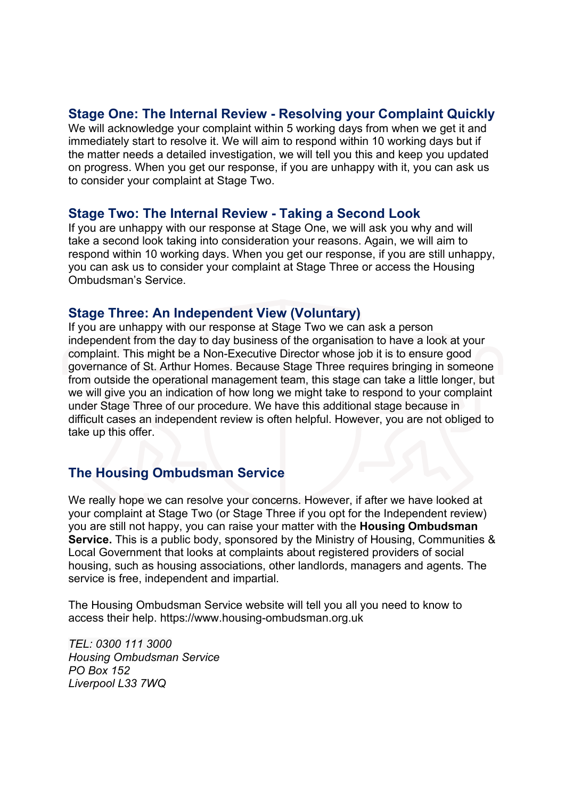#### **Stage One: The Internal Review - Resolving your Complaint Quickly**

We will acknowledge your complaint within 5 working days from when we get it and immediately start to resolve it. We will aim to respond within 10 working days but if the matter needs a detailed investigation, we will tell you this and keep you updated on progress. When you get our response, if you are unhappy with it, you can ask us to consider your complaint at Stage Two.

#### **Stage Two: The Internal Review - Taking a Second Look**

If you are unhappy with our response at Stage One, we will ask you why and will take a second look taking into consideration your reasons. Again, we will aim to respond within 10 working days. When you get our response, if you are still unhappy, you can ask us to consider your complaint at Stage Three or access the Housing Ombudsman's Service.

#### **Stage Three: An Independent View (Voluntary)**

If you are unhappy with our response at Stage Two we can ask a person independent from the day to day business of the organisation to have a look at your complaint. This might be a Non-Executive Director whose job it is to ensure good governance of St. Arthur Homes. Because Stage Three requires bringing in someone from outside the operational management team, this stage can take a little longer, but we will give you an indication of how long we might take to respond to your complaint under Stage Three of our procedure. We have this additional stage because in difficult cases an independent review is often helpful. However, you are not obliged to take up this offer.

## **The Housing Ombudsman Service**

We really hope we can resolve your concerns. However, if after we have looked at your complaint at Stage Two (or Stage Three if you opt for the Independent review) you are still not happy, you can raise your matter with the **Housing Ombudsman Service.** This is a public body, sponsored by the Ministry of Housing, Communities & Local Government that looks at complaints about registered providers of social housing, such as housing associations, other landlords, managers and agents. The service is free, independent and impartial.

The Housing Ombudsman Service website will tell you all you need to know to access their help. https://www.housing-ombudsman.org.uk

*TEL: 0300 111 3000 Housing Ombudsman Service PO Box 152 Liverpool L33 7WQ*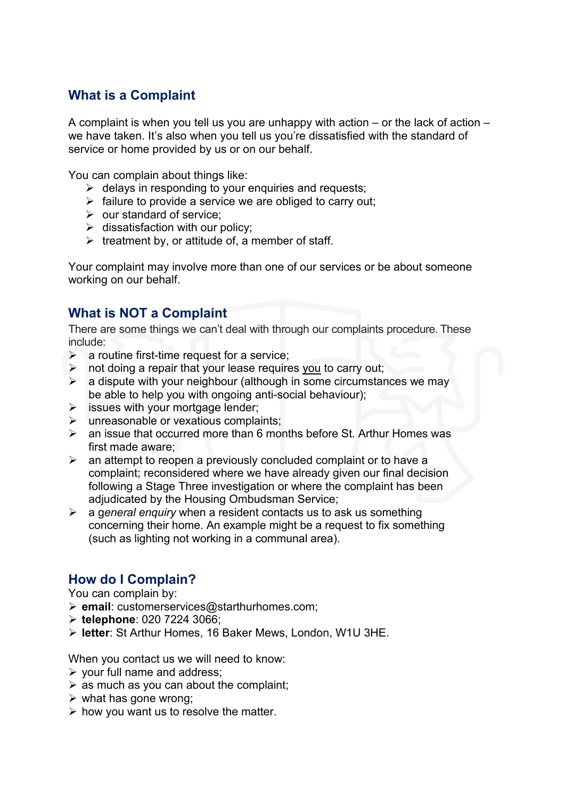# **What is a Complaint**

A complaint is when you tell us you are unhappy with action – or the lack of action – we have taken. It's also when you tell us you're dissatisfied with the standard of service or home provided by us or on our behalf.

You can complain about things like:

- $\triangleright$  delays in responding to your enquiries and requests;
- $\triangleright$  failure to provide a service we are obliged to carry out;
- $\triangleright$  our standard of service;
- $\triangleright$  dissatisfaction with our policy:
- $\triangleright$  treatment by, or attitude of, a member of staff.

Your complaint may involve more than one of our services or be about someone working on our behalf.

## **What is NOT a Complaint**

There are some things we can't deal with through our complaints procedure. These include:

- $\triangleright$  a routine first-time request for a service;
- $\triangleright$  not doing a repair that your lease requires you to carry out;
- $\triangleright$  a dispute with your neighbour (although in some circumstances we may be able to help you with ongoing anti-social behaviour);
- $\triangleright$  issues with your mortgage lender;
- $\triangleright$  unreasonable or vexatious complaints:
- $\triangleright$  an issue that occurred more than 6 months before St. Arthur Homes was first made aware;
- $\triangleright$  an attempt to reopen a previously concluded complaint or to have a complaint; reconsidered where we have already given our final decision following a Stage Three investigation or where the complaint has been adjudicated by the Housing Ombudsman Service;
- a g*eneral enquiry* when a resident contacts us to ask us something concerning their home. An example might be a request to fix something (such as lighting not working in a communal area).

#### **How do I Complain?**

You can complain by:

- **email**: customerservices@starthurhomes.com;
- **telephone**: 020 7224 3066;
- **letter**: St Arthur Homes, 16 Baker Mews, London, W1U 3HE.

When you contact us we will need to know:

- $\triangleright$  your full name and address;
- $\triangleright$  as much as you can about the complaint;
- $\triangleright$  what has gone wrong;
- $\triangleright$  how you want us to resolve the matter.